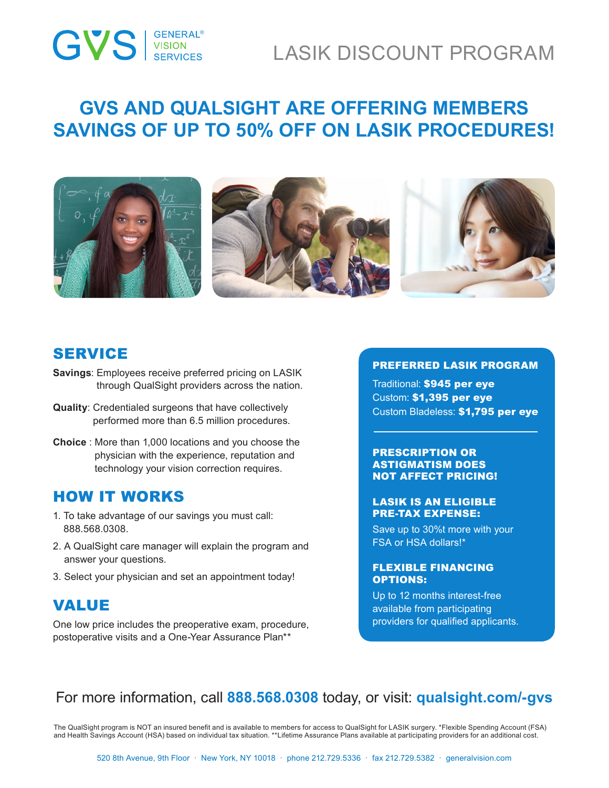# ®

## LASIK DISCOUNT PROGRAM

## **GVS AND QUALSIGHT ARE OFFERING MEMBERS SAVINGS OF UP TO 50% OFF ON LASIK PROCEDURES!**



### SERVICE

- **Savings**: Employees receive preferred pricing on LASIK through QualSight providers across the nation.
- **Quality**: Credentialed surgeons that have collectively performed more than 6.5 million procedures.
- **Choice** : More than 1,000 locations and you choose the physician with the experience, reputation and technology your vision correction requires.

### HOW IT WORKS

- 1. To take advantage of our savings you must call: 888.568.0308.
- 2. A QualSight care manager will explain the program and answer your questions.
- 3. Select your physician and set an appointment today!

### VALUE

One low price includes the preoperative exam, procedure, postoperative visits and a One-Year Assurance Plan\*\*

#### PREFERRED LASIK PROGRAM

Traditional: \$945 per eye Custom: \$1,395 per eye Custom Bladeless: \$1,795 per eye

#### PRESCRIPTION OR ASTIGMATISM DOES NOT AFFECT PRICING!

#### LASIK IS AN ELIGIBLE PRE-TAX EXPENSE:

Save up to 30%t more with your FSA or HSA dollars!\*

#### FLEXIBLE FINANCING OPTIONS:

Up to 12 months interest-free available from participating providers for qualified applicants.

### For more information, call **888.568.0308** today, or visit: **qualsight.com/-gvs**

The QualSight program is NOT an insured benefit and is available to members for access to QualSight for LASIK surgery. \*Flexible Spending Account (FSA) and Health Savings Account (HSA) based on individual tax situation. \*\*Lifetime Assurance Plans available at participating providers for an additional cost.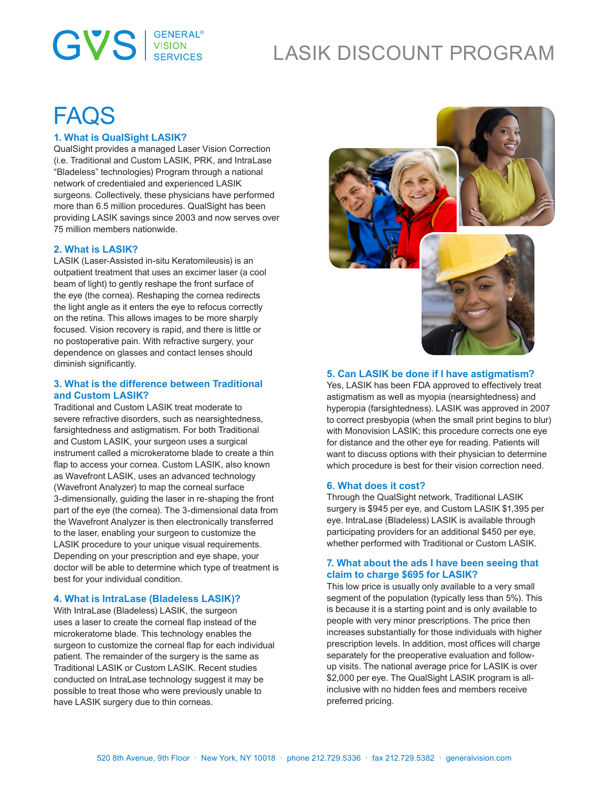# **GVS** SERVICES

# LASIK DISCOUNT PROGRAM

# **FAQS**

#### **1. What is QualSight LASIK?**

QualSight provides a managed Laser Vision Correction (i.e. Traditional and Custom LASIK, PRK, and IntraLase "Bladeless" technologies) Program through a national network of credentialed and experienced LASIK surgeons. Collectively, these physicians have performed more than 6.5 million procedures. QualSight has been providing LASIK savings since 2003 and now serves over 75 million members nationwide.

#### **2. What is LASIK?**

LASIK (Laser-Assisted in-situ Keratomileusis) is an outpatient treatment that uses an excimer laser (a cool beam of light) to gently reshape the front surface of the eye (the cornea). Reshaping the cornea redirects the light angle as it enters the eye to refocus correctly on the retina. This allows images to be more sharply focused. Vision recovery is rapid, and there is little or no postoperative pain. With refractive surgery, your dependence on glasses and contact lenses should diminish significantly.

#### **3. What is the difference between Traditional and Custom LASIK?**

Traditional and Custom LASIK treat moderate to severe refractive disorders, such as nearsightedness, farsightedness and astigmatism. For both Traditional and Custom LASIK, your surgeon uses a surgical instrument called a microkeratome blade to create a thin flap to access your cornea. Custom LASIK, also known as Wavefront LASIK, uses an advanced technology (Wavefront Analyzer) to map the corneal surface 3-dimensionally, guiding the laser in re-shaping the front part of the eye (the cornea). The 3-dimensional data from the Wavefront Analyzer is then electronically transferred to the laser, enabling your surgeon to customize the LASIK procedure to your unique visual requirements. Depending on your prescription and eye shape, your doctor will be able to determine which type of treatment is best for your individual condition.

#### **4. What is IntraLase (Bladeless LASIK)?**

With IntraLase (Bladeless) LASIK, the surgeon uses a laser to create the corneal flap instead of the microkeratome blade. This technology enables the surgeon to customize the corneal flap for each individual patient. The remainder of the surgery is the same as Traditional LASIK or Custom LASIK. Recent studies conducted on IntraLase technology suggest it may be possible to treat those who were previously unable to have LASIK surgery due to thin corneas.



#### **5. Can LASIK be done if I have astigmatism?**

Yes, LASIK has been FDA approved to effectively treat astigmatism as well as myopia (nearsightedness) and hyperopia (farsightedness). LASIK was approved in 2007 to correct presbyopia (when the small print begins to blur) with Monovision LASIK; this procedure corrects one eye for distance and the other eye for reading. Patients will want to discuss options with their physician to determine which procedure is best for their vision correction need.

#### **6. What does it cost?**

Through the QualSight network, Traditional LASIK surgery is \$945 per eye, and Custom LASIK \$1,395 per eye. IntraLase (Bladeless) LASIK is available through participating providers for an additional \$450 per eye, whether performed with Traditional or Custom LASIK.

#### **7. What about the ads I have been seeing that claim to charge \$695 for LASIK?**

This low price is usually only available to a very small segment of the population (typically less than 5%). This is because it is a starting point and is only available to people with very minor prescriptions. The price then increases substantially for those individuals with higher prescription levels. In addition, most offices will charge separately for the preoperative evaluation and followup visits. The national average price for LASIK is over \$2,000 per eye. The QualSight LASIK program is allinclusive with no hidden fees and members receive preferred pricing.